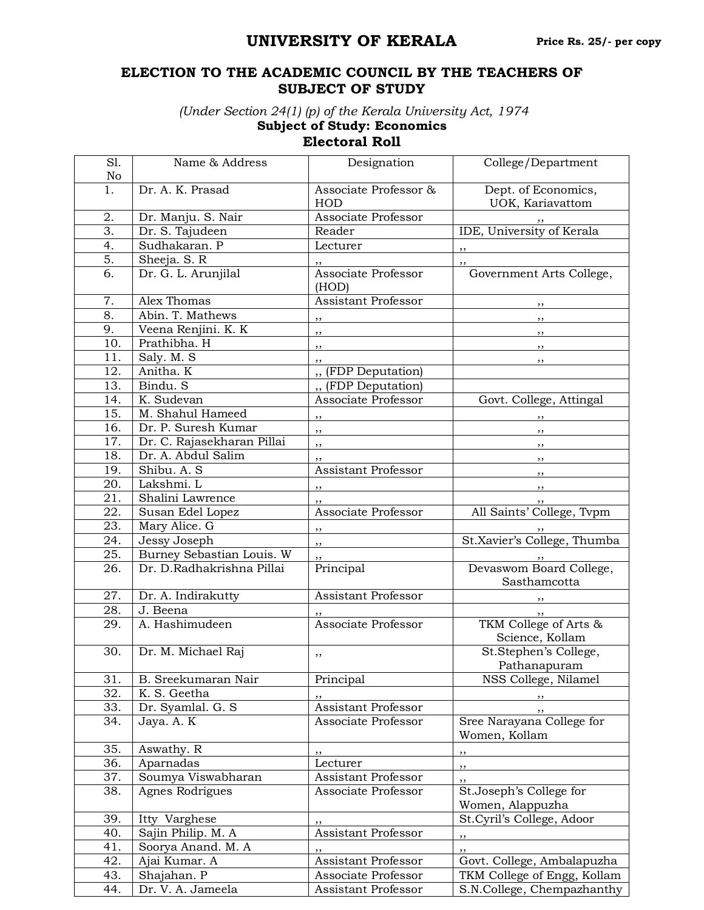## **UNIVERSITY OF KERALA**

## **ELECTION TO THE ACADEMIC COUNCIL BY THE TEACHERS OF SUBJECT OF STUDY**

*(Under Section 24(1) (p) of the Kerala University Act, 1974*

**Subject of Study: Economics**

## **Electoral Roll**

| S1.<br>No        | Name & Address             | Designation                  | College/Department                          |
|------------------|----------------------------|------------------------------|---------------------------------------------|
| 1.               | Dr. A. K. Prasad           | Associate Professor &<br>HOD | Dept. of Economics,                         |
| 2.               | Dr. Manju. S. Nair         | Associate Professor          | UOK, Kariavattom                            |
| 3.               | Dr. S. Tajudeen            | Reader                       | IDE, University of Kerala                   |
| 4.               | Sudhakaran. P              | Lecturer                     |                                             |
| 5.               | Sheeja. S. R               |                              | ,,                                          |
| 6.               | Dr. G. L. Arunjilal        | Associate Professor          | , ,<br>Government Arts College,             |
|                  |                            | (HOD)                        |                                             |
| 7.               | Alex Thomas                | <b>Assistant Professor</b>   |                                             |
| 8.               | Abin. T. Mathews           | , ,                          | $, \,$                                      |
| 9.               | Veena Renjini. K. K        | , ,                          | $, \,$                                      |
| 10.              | Prathibha. H               | ,,                           | $, \,$                                      |
| 11.              | Saly. M. S                 | ,,                           | ,,                                          |
| 12.              | Anitha. K                  | " (FDP Deputation)           |                                             |
| 13.              | Bindu. S                   | " (FDP Deputation)           |                                             |
| 14.              | K. Sudevan                 | Associate Professor          | Govt. College, Attingal                     |
| 15.              | M. Shahul Hameed           | , ,                          |                                             |
| 16.              | Dr. P. Suresh Kumar        | $\overline{\phantom{a}}$     | $, \,$                                      |
| 17.              | Dr. C. Rajasekharan Pillai | ,,                           | ,,                                          |
| 18.              | Dr. A. Abdul Salim         | ,,                           | $, \,$                                      |
| 19.              | Shibu. A. S.               | <b>Assistant Professor</b>   | $, \,$                                      |
| 20.              | Lakshmi. L                 | , ,                          | $, \,$                                      |
| 21.              | Shalini Lawrence           | ,,                           |                                             |
| 22.              | Susan Edel Lopez           | Associate Professor          | All Saints' College, Tvpm                   |
| 23.              | Mary Alice. G              | $, \,$                       |                                             |
| 24.              | Jessy Joseph               | $, \,$                       | St.Xavier's College, Thumba                 |
| 25.              | Burney Sebastian Louis. W  | ,,                           |                                             |
| 26.              | Dr. D.Radhakrishna Pillai  | Principal                    | Devaswom Board College,<br>Sasthamcotta     |
| 27.              | Dr. A. Indirakutty         | Assistant Professor          |                                             |
| 28.              | J. Beena                   |                              | $, \, \cdot$                                |
| 29.              | A. Hashimudeen             | Associate Professor          | TKM College of Arts &<br>Science, Kollam    |
| 30.              | Dr. M. Michael Raj         | ,,                           | St.Stephen's College,<br>Pathanapuram       |
| 31.              | B. Sreekumaran Nair        | Principal                    | NSS College, Nilamel                        |
| 32.              | K. S. Geetha               |                              | $, \,$                                      |
| 33.              | Dr. Syamlal. G. S          | Assistant Professor          | ,,                                          |
| 34.              | Jaya. A. K                 | Associate Professor          | Sree Narayana College for<br>Women, Kollam  |
| 35.              | Aswathy. R                 | ,,                           | , ,                                         |
| 36.              | Aparnadas                  | Lecturer                     | ,,                                          |
| $\overline{3}7.$ | Soumya Viswabharan         | Assistant Professor          | ,,                                          |
| 38.              | Agnes Rodrigues            | Associate Professor          | St.Joseph's College for<br>Women, Alappuzha |
| 39.              | Itty Varghese              |                              | St.Cyril's College, Adoor                   |
| 40.              | Sajin Philip. M. A         | Assistant Professor          | , ,                                         |
| 41.              | Soorya Anand. M. A         | ,,                           | ,,                                          |
| 42.              | Ajai Kumar. A              | <b>Assistant Professor</b>   | Govt. College, Ambalapuzha                  |
| 43.              | Shajahan. $\overline{P}$   | Associate Professor          | TKM College of Engg, Kollam                 |
| 44.              | Dr. V. A. Jameela          | Assistant Professor          | S.N.College, Chempazhanthy                  |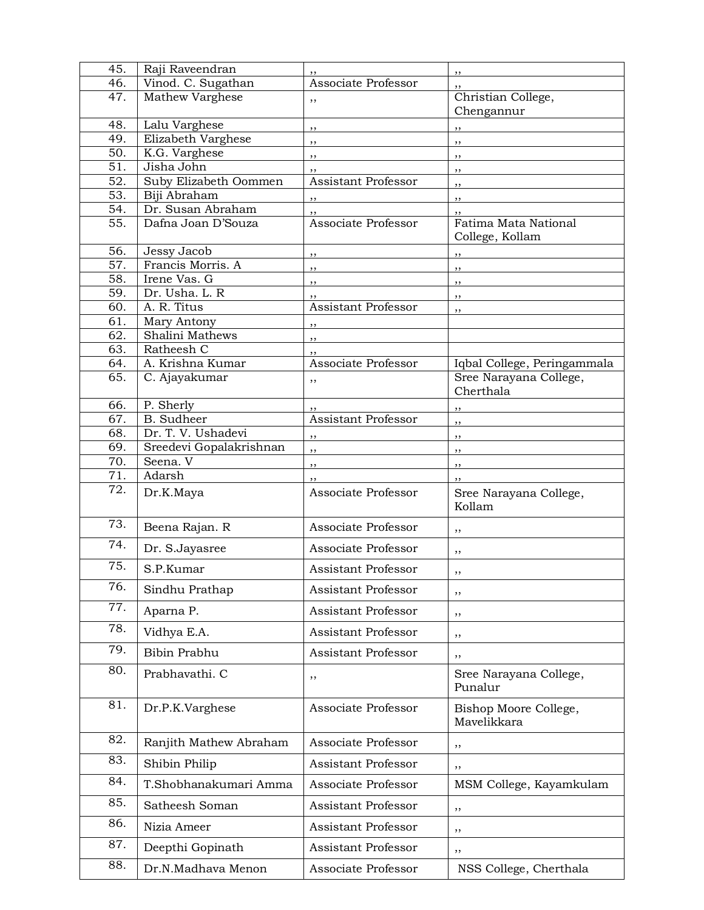| 45.               | Raji Raveendran                |                                  | , ,                                  |
|-------------------|--------------------------------|----------------------------------|--------------------------------------|
| 46.               | Vinod. C. Sugathan             | Associate Professor              |                                      |
| 47.               | Mathew Varghese                | ,,                               | Christian College,                   |
|                   |                                |                                  | Chengannur                           |
| 48.               | Lalu Varghese                  | ,,                               | ,,                                   |
| 49.               | Elizabeth Varghese             | ,,                               | $, \,$                               |
| 50.<br>51.        | K.G. Varghese<br>Jisha John    | ,,                               | ,,                                   |
| 52.               | Suby Elizabeth Oommen          | ,,<br><b>Assistant Professor</b> | $, \,$                               |
| 53.               | Biji Abraham                   |                                  | ,,                                   |
| 54.               | Dr. Susan Abraham              | ,,                               | ,,                                   |
| $\overline{55}$ . | Dafna Joan D'Souza             | ,,<br>Associate Professor        | ,,<br>Fatima Mata National           |
|                   |                                |                                  | College, Kollam                      |
| 56.               | Jessy Jacob                    | ,,                               | ,,                                   |
| 57.               | Francis Morris. A              | ,,                               | ,,                                   |
| 58.               | Irene Vas. G                   | ,,                               | $, \,$                               |
| 59.               | Dr. Usha. L. R                 | ,,                               | ,,                                   |
| 60.               | A. R. Titus                    | <b>Assistant Professor</b>       | ,,                                   |
| 61.               | Mary Antony                    | , ,                              |                                      |
| 62.<br>63.        | Shalini Mathews                | ,,                               |                                      |
| 64.               | Ratheesh C<br>A. Krishna Kumar | ,,<br>Associate Professor        | Iqbal College, Peringammala          |
| 65.               | C. Ajayakumar                  |                                  | Sree Narayana College,               |
|                   |                                | ,,                               | Cherthala                            |
| 66.               | P. Sherly                      | ,,                               | ,,                                   |
| 67.               | <b>B.</b> Sudheer              | <b>Assistant Professor</b>       | ,,                                   |
| 68.               | Dr. T. V. Ushadevi             | , ,                              | ,,                                   |
| 69.               | Sreedevi Gopalakrishnan        | ,,                               | $, \,$                               |
| 70.               | Seena. V                       | ,,                               | $, \,$                               |
| 71.               | Adarsh                         | ,,                               | ,,                                   |
| $\overline{72}$ . | Dr.K.Maya                      | Associate Professor              | Sree Narayana College,<br>Kollam     |
| 73.               | Beena Rajan. R                 | Associate Professor              | ,,                                   |
| 74.               | Dr. S.Jayasree                 | Associate Professor              | ,,                                   |
| 75.               | S.P.Kumar                      | Assistant Professor              | ,,                                   |
| 76.               | Sindhu Prathap                 | <b>Assistant Professor</b>       | ,,                                   |
| 77.               | Aparna P.                      | <b>Assistant Professor</b>       | , ,                                  |
| 78.               | Vidhya E.A.                    | Assistant Professor              | , ,                                  |
| 79.               | Bibin Prabhu                   | <b>Assistant Professor</b>       | ,,                                   |
| 80.               | Prabhavathi. C                 | ,,                               | Sree Narayana College,<br>Punalur    |
| 81.               | Dr.P.K.Varghese                | Associate Professor              | Bishop Moore College,<br>Mavelikkara |
| 82.               | Ranjith Mathew Abraham         | Associate Professor              | ,,                                   |
| 83.               | Shibin Philip                  | Assistant Professor              | ,,                                   |
| 84.               | T.Shobhanakumari Amma          | Associate Professor              | MSM College, Kayamkulam              |
| 85.               | Satheesh Soman                 | Assistant Professor              | ,,                                   |
| 86.               | Nizia Ameer                    | Assistant Professor              | , ,                                  |
| 87.               | Deepthi Gopinath               | Assistant Professor              | ,,                                   |
| 88.               | Dr.N.Madhava Menon             | Associate Professor              | NSS College, Cherthala               |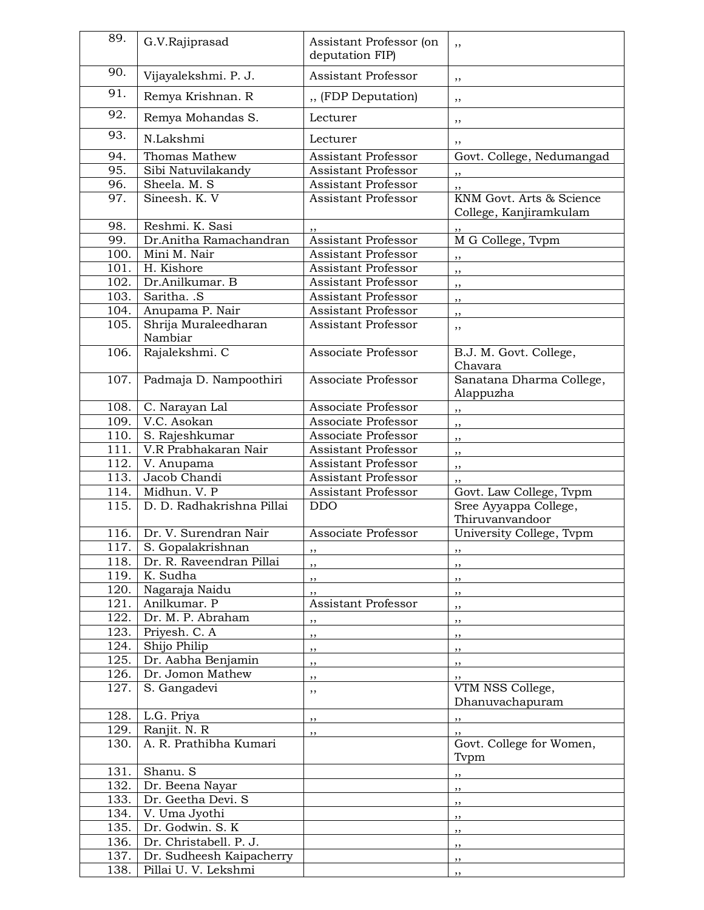| 89.  | G.V.Rajiprasad                  | Assistant Professor (on<br>deputation FIP) | ,,                                                 |
|------|---------------------------------|--------------------------------------------|----------------------------------------------------|
| 90.  | Vijayalekshmi. P. J.            | <b>Assistant Professor</b>                 | ,,                                                 |
| 91.  | Remya Krishnan. R               | " (FDP Deputation)                         | ,,                                                 |
| 92.  | Remya Mohandas S.               | Lecturer                                   | ,,                                                 |
| 93.  | N.Lakshmi                       | Lecturer                                   | ,,                                                 |
| 94.  | Thomas Mathew                   | <b>Assistant Professor</b>                 | Govt. College, Nedumangad                          |
| 95.  | Sibi Natuvilakandy              | <b>Assistant Professor</b>                 |                                                    |
| 96.  | Sheela. M. S                    | <b>Assistant Professor</b>                 |                                                    |
| 97.  | Sineesh. K. V                   | <b>Assistant Professor</b>                 | KNM Govt. Arts & Science<br>College, Kanjiramkulam |
| 98.  | Reshmi. K. Sasi                 |                                            |                                                    |
| 99.  | Dr.Anitha Ramachandran          | Assistant Professor                        | M G College, Tvpm                                  |
| 100. | Mini M. Nair                    | <b>Assistant Professor</b>                 | ,,                                                 |
| 101. | H. Kishore                      | Assistant Professor                        | ,,                                                 |
| 102. | Dr.Anilkumar. B                 | <b>Assistant Professor</b>                 | ,,                                                 |
| 103. | Saritha. .S                     | Assistant Professor                        | ,,                                                 |
| 104. | Anupama P. Nair                 | Assistant Professor                        | ,,                                                 |
| 105. | Shrija Muraleedharan<br>Nambiar | <b>Assistant Professor</b>                 | ,,                                                 |
| 106. | Rajalekshmi. C                  | Associate Professor                        | B.J. M. Govt. College,<br>Chavara                  |
| 107. | Padmaja D. Nampoothiri          | Associate Professor                        | Sanatana Dharma College,<br>Alappuzha              |
| 108. | C. Narayan Lal                  | Associate Professor                        | ,,                                                 |
| 109. | V.C. Asokan                     | Associate Professor                        | ,,                                                 |
| 110. | S. Rajeshkumar                  | Associate Professor                        | ,,                                                 |
| 111. | V.R Prabhakaran Nair            | Assistant Professor                        | ,,                                                 |
| 112. | V. Anupama                      | <b>Assistant Professor</b>                 | ,,                                                 |
| 113. | Jacob Chandi                    | Assistant Professor                        |                                                    |
| 114. | Midhun. V. P                    | Assistant Professor                        | Govt. Law College, Tvpm                            |
| 115. | D. D. Radhakrishna Pillai       | <b>DDO</b>                                 | Sree Ayyappa College,<br>Thiruvanvandoor           |
| 116. | Dr. V. Surendran Nair           | Associate Professor                        | University College, Tvpm                           |
|      | 117. S. Gopalakrishnan          | ,,                                         | ,,                                                 |
| 118. | Dr. R. Raveendran Pillai        | ,,                                         | ,,                                                 |
| 119. | K. Sudha                        | , ,                                        | ,,                                                 |
| 120. | Nagaraja Naidu                  | ,,                                         | $, \,$                                             |
| 121. | Anilkumar. P                    | <b>Assistant Professor</b>                 | $, \,$                                             |
| 122. | Dr. M. P. Abraham               | ,,                                         | $, \,$                                             |
| 123. | Priyesh. C. A                   | ,,                                         | ,,                                                 |
| 124. | Shijo Philip                    | ,,                                         | ,,                                                 |
| 125. | Dr. Aabha Benjamin              | $, \,$                                     | $, \,$                                             |
| 126. | Dr. Jomon Mathew                | ,,                                         |                                                    |
| 127. | S. Gangadevi                    | ,,                                         | VTM NSS College,                                   |
|      |                                 |                                            | Dhanuvachapuram                                    |
|      | 128. L.G. Priya                 | $, \,$                                     | $, \,$                                             |
| 129. | Ranjit. N. R                    | ,,                                         | ,,                                                 |
| 130. | A. R. Prathibha Kumari          |                                            | Govt. College for Women,                           |
| 131. | Shanu. S                        |                                            | Tvpm                                               |
| 132. | Dr. Beena Nayar                 |                                            | ,,                                                 |
|      |                                 |                                            | ,,                                                 |
| 133. | Dr. Geetha Devi. S              |                                            | $, \,$                                             |
| 134. | V. Uma Jyothi                   |                                            | $, \,$                                             |
| 135. | Dr. Godwin. S. K                |                                            | , ,                                                |
| 136. | Dr. Christabell. P. J.          |                                            | , ,                                                |
| 137. | Dr. Sudheesh Kaipacherry        |                                            | ,,                                                 |
| 138. | Pillai U. V. Lekshmi            |                                            | ,,                                                 |